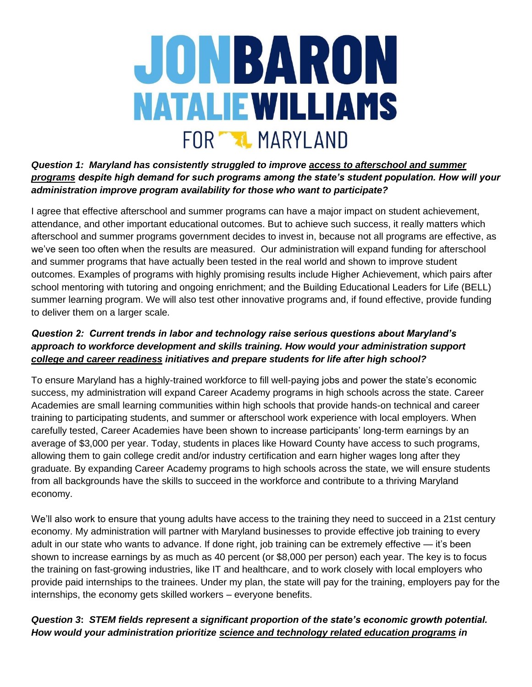

*Question 1: Maryland has consistently struggled to improve access to afterschool and summer programs despite high demand for such programs among the state's student population. How will your administration improve program availability for those who want to participate?* 

I agree that effective afterschool and summer programs can have a major impact on student achievement, attendance, and other important educational outcomes. But to achieve such success, it really matters which afterschool and summer programs government decides to invest in, because not all programs are effective, as we've seen too often when the results are measured. Our administration will expand funding for afterschool and summer programs that have actually been tested in the real world and shown to improve student outcomes. Examples of programs with highly promising results include Higher Achievement, which pairs after school mentoring with tutoring and ongoing enrichment; and the Building Educational Leaders for Life (BELL) summer learning program. We will also test other innovative programs and, if found effective, provide funding to deliver them on a larger scale.

# *Question 2: Current trends in labor and technology raise serious questions about Maryland's approach to workforce development and skills training. How would your administration support college and career readiness initiatives and prepare students for life after high school?*

To ensure Maryland has a highly-trained workforce to fill well-paying jobs and power the state's economic success, my administration will expand Career Academy programs in high schools across the state. Career Academies are small learning communities within high schools that provide hands-on technical and career training to participating students, and summer or afterschool work experience with local employers. When carefully tested, Career Academies have been shown to increase participants' long-term earnings by an average of \$3,000 per year. Today, students in places like Howard County have access to such programs, allowing them to gain college credit and/or industry certification and earn higher wages long after they graduate. By expanding Career Academy programs to high schools across the state, we will ensure students from all backgrounds have the skills to succeed in the workforce and contribute to a thriving Maryland economy.

We'll also work to ensure that young adults have access to the training they need to succeed in a 21st century economy. My administration will partner with Maryland businesses to provide effective job training to every adult in our state who wants to advance. If done right, job training can be extremely effective — it's been shown to increase earnings by as much as 40 percent (or \$8,000 per person) each year. The key is to focus the training on fast-growing industries, like IT and healthcare, and to work closely with local employers who provide paid internships to the trainees. Under my plan, the state will pay for the training, employers pay for the internships, the economy gets skilled workers – everyone benefits.

# *Question 3***:** *STEM fields represent a significant proportion of the state's economic growth potential. How would your administration prioritize science and technology related education programs in*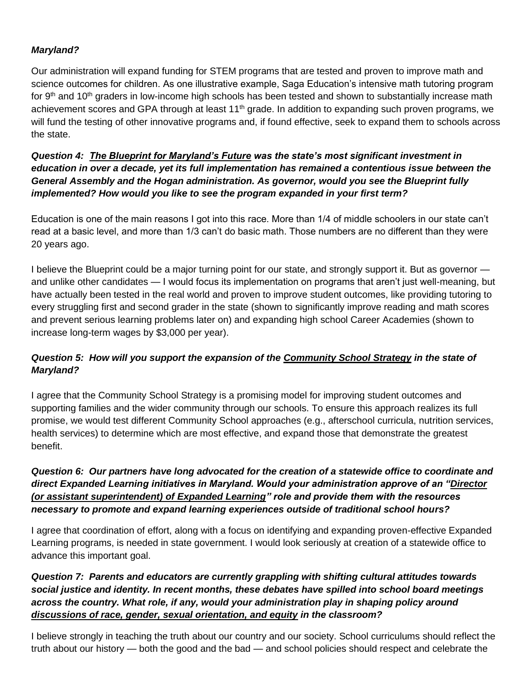### *Maryland?*

Our administration will expand funding for STEM programs that are tested and proven to improve math and science outcomes for children. As one illustrative example, Saga Education's intensive math tutoring program for 9<sup>th</sup> and 10<sup>th</sup> graders in low-income high schools has been tested and shown to substantially increase math achievement scores and GPA through at least 11<sup>th</sup> grade. In addition to expanding such proven programs, we will fund the testing of other innovative programs and, if found effective, seek to expand them to schools across the state.

*Question 4: The Blueprint for Maryland's Future was the state's most significant investment in education in over a decade, yet its full implementation has remained a contentious issue between the General Assembly and the Hogan administration. As governor, would you see the Blueprint fully implemented? How would you like to see the program expanded in your first term?* 

Education is one of the main reasons I got into this race. More than 1/4 of middle schoolers in our state can't read at a basic level, and more than 1/3 can't do basic math. Those numbers are no different than they were 20 years ago.

I believe the Blueprint could be a major turning point for our state, and strongly support it. But as governor and unlike other candidates — I would focus its implementation on programs that aren't just well-meaning, but have actually been tested in the real world and proven to improve student outcomes, like providing tutoring to every struggling first and second grader in the state (shown to significantly improve reading and math scores and prevent serious learning problems later on) and expanding high school Career Academies (shown to increase long-term wages by \$3,000 per year).

# *Question 5: How will you support the expansion of the Community School Strategy in the state of Maryland?*

I agree that the Community School Strategy is a promising model for improving student outcomes and supporting families and the wider community through our schools. To ensure this approach realizes its full promise, we would test different Community School approaches (e.g., afterschool curricula, nutrition services, health services) to determine which are most effective, and expand those that demonstrate the greatest benefit.

# *Question 6: Our partners have long advocated for the creation of a statewide office to coordinate and direct Expanded Learning initiatives in Maryland. Would your administration approve of an "Director (or assistant superintendent) of Expanded Learning" role and provide them with the resources necessary to promote and expand learning experiences outside of traditional school hours?*

I agree that coordination of effort, along with a focus on identifying and expanding proven-effective Expanded Learning programs, is needed in state government. I would look seriously at creation of a statewide office to advance this important goal.

# *Question 7: Parents and educators are currently grappling with shifting cultural attitudes towards social justice and identity. In recent months, these debates have spilled into school board meetings across the country. What role, if any, would your administration play in shaping policy around discussions of race, gender, sexual orientation, and equity in the classroom?*

I believe strongly in teaching the truth about our country and our society. School curriculums should reflect the truth about our history — both the good and the bad — and school policies should respect and celebrate the